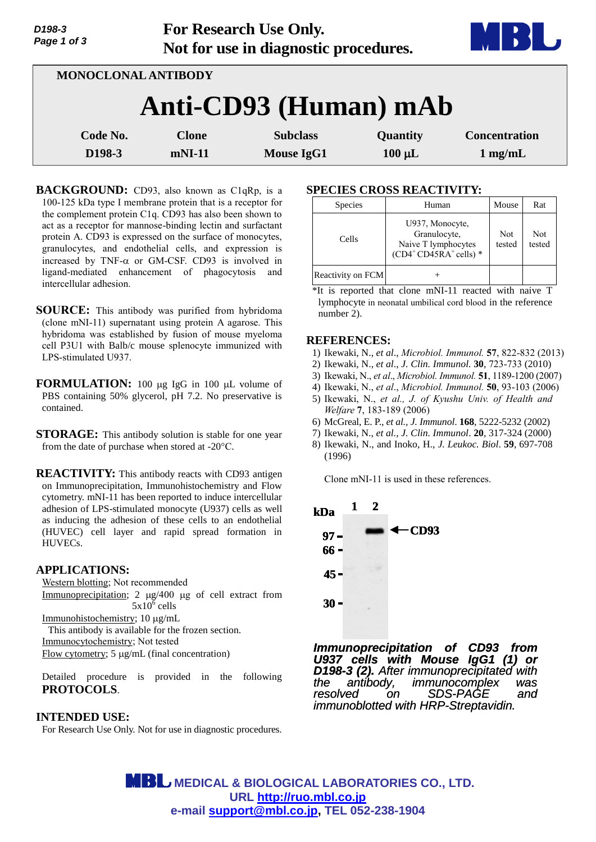|                       | Page 1 of 3         |              | Not for use in diagnostic procedures. |             | D                    |  |  |  |
|-----------------------|---------------------|--------------|---------------------------------------|-------------|----------------------|--|--|--|
|                       | MONOCLONAL ANTIBODY |              |                                       |             |                      |  |  |  |
| Anti-CD93 (Human) mAb |                     |              |                                       |             |                      |  |  |  |
|                       | Code No.            | <b>Clone</b> | <b>Subclass</b>                       | Quantity    | <b>Concentration</b> |  |  |  |
|                       | D198-3              | $m$ NI-11    | <b>Mouse IgG1</b>                     | $100 \mu L$ | $1 \text{ mg/mL}$    |  |  |  |

**For Research Use Only.**

**BACKGROUND:** CD93, also known as C1qRp, is a 100-125 kDa type I membrane protein that is a receptor for the complement protein C1q. CD93 has also been shown to act as a receptor for mannose-binding lectin and surfactant protein A. CD93 is expressed on the surface of monocytes, granulocytes, and endothelial cells, and expression is increased by TNF- $\alpha$  or GM-CSF. CD93 is involved in ligand-mediated enhancement of phagocytosis and intercellular adhesion.

**SOURCE:** This antibody was purified from hybridoma (clone mNI-11) supernatant using protein A agarose. This hybridoma was established by fusion of mouse myeloma cell P3U1 with Balb/c mouse splenocyte immunized with LPS-stimulated U937.

- **FORMULATION:** 100 µg IgG in 100 µL volume of PBS containing 50% glycerol, pH 7.2. No preservative is contained.
- **STORAGE:** This antibody solution is stable for one year from the date of purchase when stored at -20°C.

**REACTIVITY:** This antibody reacts with CD93 antigen on Immunoprecipitation, Immunohistochemistry and Flow cytometry. mNI-11 has been reported to induce intercellular adhesion of LPS-stimulated monocyte (U937) cells as well as inducing the adhesion of these cells to an endothelial (HUVEC) cell layer and rapid spread formation in HUVECs.

## **APPLICATIONS:**

*D198-3*

Western blotting; Not recommended Immunoprecipitation; 2  $\mu$ g/400  $\mu$ g of cell extract from  $5x10^6$  cells Immunohistochemistry; 10 µg/mL This antibody is available for the frozen section. Immunocytochemistry; Not tested

Flow cytometry;  $5 \mu g/mL$  (final concentration)

Detailed procedure is provided in the following **PROTOCOLS**.

#### **INTENDED USE:**

For Research Use Only. Not for use in diagnostic procedures.

# **SPECIES CROSS REACTIVITY:**

| <b>Species</b>    | Human                                                                           | Mouse                | Rat           |
|-------------------|---------------------------------------------------------------------------------|----------------------|---------------|
| Cells             | U937, Monocyte,<br>Granulocyte,<br>Naive T lymphocytes<br>$(CD4+CD45R+ cells)*$ | <b>Not</b><br>tested | Not<br>tested |
| Reactivity on FCM |                                                                                 |                      |               |

\*It is reported that clone mNI-11 reacted with naive T lymphocyte in neonatal umbilical cord blood in the reference number 2).

#### **REFERENCES:**

- 1) Ikewaki, N., *et al*., *Microbiol. Immunol.* **57**, 822-832 (2013)
- 2) Ikewaki, N., *et al*., *J. Clin. Immunol.* **30**, 723-733 (2010)
- 3) Ikewaki, N., *et al*., *Microbiol. Immunol.* **51**, 1189-1200 (2007)
- 4) Ikewaki, N., *et al*., *Microbiol. Immunol.* **50**, 93-103 (2006)
- 5) Ikewaki, N., *et al., J. of Kyushu Univ. of Health and Welfare* **7**, 183-189 (2006)
- 6) McGreal, E. P., *et al., J. Immunol*. **168**, 5222-5232 (2002)
- 7) Ikewaki, N., *et al., J. Clin. Immunol*. **20**, 317-324 (2000)
- 8) Ikewaki, N., and Inoko, H., *J. Leukoc. Biol*. **59**, 697-708 (1996)

Clone mNI-11 is used in these references.



*Immunoprecipitation of CD93 from U937 cells with Mouse IgG1 (1) or D198-3 (2). After immunoprecipitated with the antibody, immunocomplex was resolved on SDS-PAGE and immunoblotted with HRP-Streptavidin.* 

 **MEDICAL & BIOLOGICAL LABORATORIES CO., LTD. URL [http://ruo.mbl.co.jp](http://ruo.mbl.co.jp/) e-mail [support@mbl.co.jp,](mailto:support@mbl.co.jp) TEL 052-238-1904**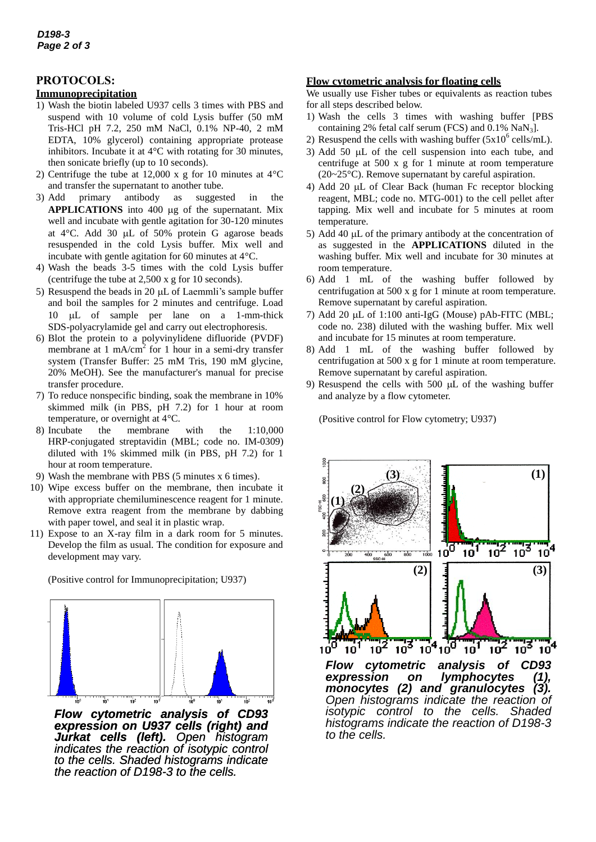# **PROTOCOLS:**

## **Immunoprecipitation**

- 1) Wash the biotin labeled U937 cells 3 times with PBS and suspend with 10 volume of cold Lysis buffer (50 mM Tris-HCl pH 7.2, 250 mM NaCl, 0.1% NP-40, 2 mM EDTA, 10% glycerol) containing appropriate protease inhibitors. Incubate it at 4°C with rotating for 30 minutes, then sonicate briefly (up to 10 seconds).
- 2) Centrifuge the tube at 12,000 x g for 10 minutes at  $4^{\circ}$ C and transfer the supernatant to another tube.
- 3) Add primary antibody as suggested in the APPLICATIONS into 400 µg of the supernatant. Mix well and incubate with gentle agitation for 30-120 minutes at 4°C. Add 30 µL of 50% protein G agarose beads resuspended in the cold Lysis buffer. Mix well and incubate with gentle agitation for 60 minutes at 4°C.
- 4) Wash the beads 3-5 times with the cold Lysis buffer (centrifuge the tube at 2,500 x g for 10 seconds).
- 5) Resuspend the beads in 20  $\mu$ L of Laemmli's sample buffer and boil the samples for 2 minutes and centrifuge. Load 10 µL of sample per lane on a 1-mm-thick SDS-polyacrylamide gel and carry out electrophoresis.
- 6) Blot the protein to a polyvinylidene difluoride (PVDF) membrane at 1 mA/cm<sup>2</sup> for 1 hour in a semi-dry transfer system (Transfer Buffer: 25 mM Tris, 190 mM glycine, 20% MeOH). See the manufacturer's manual for precise transfer procedure.
- 7) To reduce nonspecific binding, soak the membrane in 10% skimmed milk (in PBS, pH 7.2) for 1 hour at room temperature, or overnight at 4°C.
- 8) Incubate the membrane with the 1:10,000 HRP-conjugated streptavidin (MBL; code no. IM-0309) diluted with 1% skimmed milk (in PBS, pH 7.2) for 1 hour at room temperature.
- 9) Wash the membrane with PBS (5 minutes x 6 times).
- 10) Wipe excess buffer on the membrane, then incubate it with appropriate chemiluminescence reagent for 1 minute. Remove extra reagent from the membrane by dabbing with paper towel, and seal it in plastic wrap.
- 11) Expose to an X-ray film in a dark room for 5 minutes. Develop the film as usual. The condition for exposure and development may vary.

(Positive control for Immunoprecipitation; U937)



*Flow cytometric analysis of CD93 expression on U937 cells (right) and Jurkat cells (left). Open histogram indicates the reaction of isotypic control to the cells. Shaded histograms indicate the reaction of D198-3 to the cells.* 

## **Flow cytometric analysis for floating cells**

We usually use Fisher tubes or equivalents as reaction tubes for all steps described below.

- 1) Wash the cells 3 times with washing buffer [PBS containing 2% fetal calf serum (FCS) and  $0.1\%$  NaN<sub>3</sub>].
- 2) Resuspend the cells with washing buffer  $(5x10^6 \text{ cells/mL})$ .
- 3) Add 50  $\mu$ L of the cell suspension into each tube, and centrifuge at 500 x g for 1 minute at room temperature (20~25°C). Remove supernatant by careful aspiration.
- 4) Add 20  $\mu$ L of Clear Back (human Fc receptor blocking reagent, MBL; code no. MTG-001) to the cell pellet after tapping. Mix well and incubate for 5 minutes at room temperature.
- 5) Add 40  $\mu$ L of the primary antibody at the concentration of as suggested in the **APPLICATIONS** diluted in the washing buffer. Mix well and incubate for 30 minutes at room temperature.
- 6) Add 1 mL of the washing buffer followed by centrifugation at 500 x g for 1 minute at room temperature. Remove supernatant by careful aspiration.
- 7) Add 20  $\mu$ L of 1:100 [anti-IgG \(Mouse\) pAb-FITC](http://ruo.mbl.co.jp/dtl/A/238/) (MBL: code no. 238) diluted with the washing buffer. Mix well and incubate for 15 minutes at room temperature.
- 8) Add 1 mL of the washing buffer followed by centrifugation at 500 x g for 1 minute at room temperature. Remove supernatant by careful aspiration.
- 9) Resuspend the cells with  $500 \mu L$  of the washing buffer and analyze by a flow cytometer.

(Positive control for Flow cytometry; U937)



*monocytes (2) and granulocytes (3). Open histograms indicate the reaction of isotypic control to the cells. Shaded histograms indicate the reaction of D198-3 to the cells.*